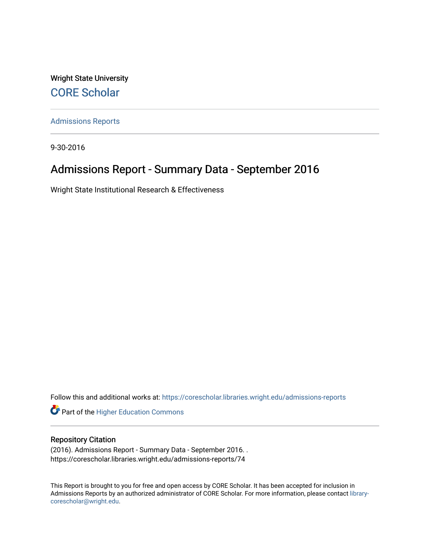Wright State University [CORE Scholar](https://corescholar.libraries.wright.edu/)

[Admissions Reports](https://corescholar.libraries.wright.edu/admissions-reports) 

9-30-2016

# Admissions Report - Summary Data - September 2016

Wright State Institutional Research & Effectiveness

Follow this and additional works at: [https://corescholar.libraries.wright.edu/admissions-reports](https://corescholar.libraries.wright.edu/admissions-reports?utm_source=corescholar.libraries.wright.edu%2Fadmissions-reports%2F74&utm_medium=PDF&utm_campaign=PDFCoverPages) 

**Part of the Higher Education Commons** 

# Repository Citation

(2016). Admissions Report - Summary Data - September 2016. . https://corescholar.libraries.wright.edu/admissions-reports/74

This Report is brought to you for free and open access by CORE Scholar. It has been accepted for inclusion in Admissions Reports by an authorized administrator of CORE Scholar. For more information, please contact [library](mailto:library-corescholar@wright.edu)[corescholar@wright.edu](mailto:library-corescholar@wright.edu).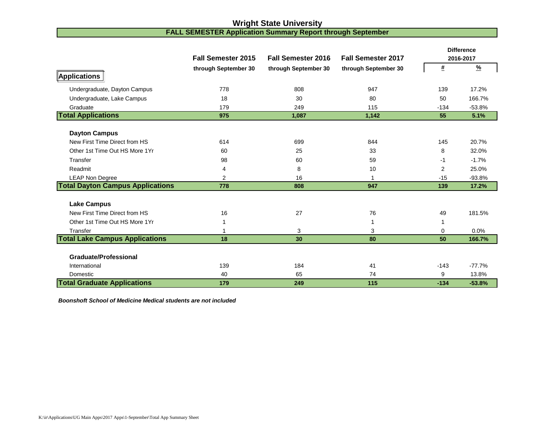# **Wright State University**

### **FALL SEMESTER Application Summary Report through September**

|                                         | <b>Fall Semester 2015</b> | <b>Fall Semester 2016</b> | <b>Fall Semester 2017</b> |                | <b>Difference</b><br>2016-2017 |
|-----------------------------------------|---------------------------|---------------------------|---------------------------|----------------|--------------------------------|
|                                         | through September 30      | through September 30      | through September 30      | #              | $\frac{9}{6}$                  |
| <b>Applications</b>                     |                           |                           |                           |                |                                |
| Undergraduate, Dayton Campus            | 778                       | 808                       | 947                       | 139            | 17.2%                          |
| Undergraduate, Lake Campus              | 18                        | 30                        | 80                        | 50             | 166.7%                         |
| Graduate                                | 179                       | 249                       | 115                       | $-134$         | $-53.8%$                       |
| <b>Total Applications</b>               | 975                       | 1,087                     | 1,142                     | 55             | 5.1%                           |
|                                         |                           |                           |                           |                |                                |
| <b>Dayton Campus</b>                    |                           |                           |                           |                |                                |
| New First Time Direct from HS           | 614                       | 699                       | 844                       | 145            | 20.7%                          |
| Other 1st Time Out HS More 1Yr          | 60                        | 25                        | 33                        | 8              | 32.0%                          |
| Transfer                                | 98                        | 60                        | 59                        | $-1$           | $-1.7%$                        |
| Readmit                                 | 4                         | 8                         | 10                        | $\overline{2}$ | 25.0%                          |
| <b>LEAP Non Degree</b>                  | 2                         | 16                        |                           | $-15$          | $-93.8%$                       |
| <b>Total Dayton Campus Applications</b> | 778                       | 808                       | 947                       | 139            | 17.2%                          |
|                                         |                           |                           |                           |                |                                |
| <b>Lake Campus</b>                      |                           |                           |                           |                |                                |
| New First Time Direct from HS           | 16                        | 27                        | 76                        | 49             | 181.5%                         |
| Other 1st Time Out HS More 1Yr          | 1                         |                           | 1                         | 1              |                                |
| Transfer                                | 1                         | 3                         | 3                         | 0              | 0.0%                           |
| <b>Total Lake Campus Applications</b>   | 18                        | 30                        | 80                        | 50             | 166.7%                         |
| <b>Graduate/Professional</b>            |                           |                           |                           |                |                                |
| International                           | 139                       | 184                       | 41                        | $-143$         | $-77.7%$                       |
| Domestic                                | 40                        | 65                        | 74                        | 9              | 13.8%                          |
| <b>Total Graduate Applications</b>      | 179                       | 249                       | 115                       | $-134$         | $-53.8%$                       |

*Boonshoft School of Medicine Medical students are not included*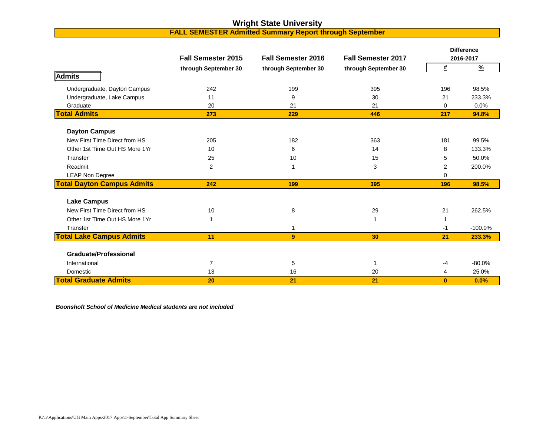# **Wright State University**

## **FALL SEMESTER Admitted Summary Report through September**

|                                   | <b>Fall Semester 2015</b> | <b>Fall Semester 2016</b> | <b>Fall Semester 2017</b> |          | <b>Difference</b><br>2016-2017 |
|-----------------------------------|---------------------------|---------------------------|---------------------------|----------|--------------------------------|
|                                   | through September 30      | through September 30      | through September 30      | #        | $\frac{9}{6}$                  |
| Admits                            |                           |                           |                           |          |                                |
| Undergraduate, Dayton Campus      | 242                       | 199                       | 395                       | 196      | 98.5%                          |
| Undergraduate, Lake Campus        | 11                        | 9                         | 30                        | 21       | 233.3%                         |
| Graduate                          | 20                        | 21                        | 21                        | $\Omega$ | 0.0%                           |
| <b>Total Admits</b>               | 273                       | 229                       | 446                       | 217      | 94.8%                          |
| <b>Dayton Campus</b>              |                           |                           |                           |          |                                |
| New First Time Direct from HS     | 205                       | 182                       | 363                       | 181      | 99.5%                          |
| Other 1st Time Out HS More 1Yr    | 10                        | 6                         | 14                        | 8        | 133.3%                         |
| Transfer                          | 25                        | 10                        | 15                        | 5        | 50.0%                          |
| Readmit                           | $\mathbf{2}$              | 1                         | 3                         | 2        | 200.0%                         |
| <b>LEAP Non Degree</b>            |                           |                           |                           | $\Omega$ |                                |
| <b>Total Dayton Campus Admits</b> | 242                       | 199                       | 395                       | 196      | 98.5%                          |
| <b>Lake Campus</b>                |                           |                           |                           |          |                                |
| New First Time Direct from HS     | 10                        | 8                         | 29                        | 21       | 262.5%                         |
| Other 1st Time Out HS More 1Yr    | 1                         |                           |                           |          |                                |
| Transfer                          |                           | 1                         |                           | -1       | $-100.0%$                      |
| <b>Total Lake Campus Admits</b>   | 11                        | 9                         | 30                        | 21       | 233.3%                         |
| <b>Graduate/Professional</b>      |                           |                           |                           |          |                                |
| International                     | $\overline{7}$            | 5                         | -1                        | $-4$     | $-80.0%$                       |
| Domestic                          | 13                        | 16                        | 20                        | 4        | 25.0%                          |
| <b>Total Graduate Admits</b>      | 20                        | 21                        | 21                        | $\bf{0}$ | 0.0%                           |

*Boonshoft School of Medicine Medical students are not included*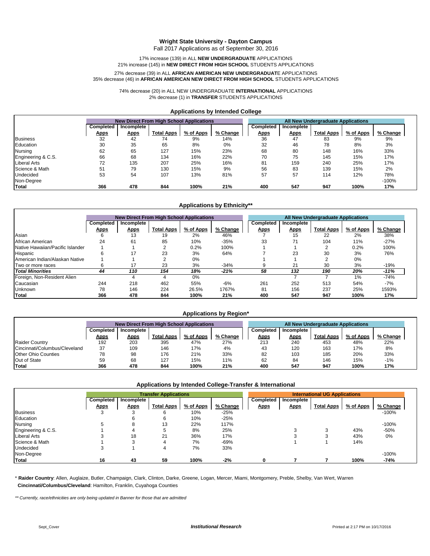#### **Wright State University - Dayton Campus**

Fall 2017 Applications as of September 30, 2016

#### 17% increase (139) in ALL **NEW UNDERGRADUATE** APPLICATIONS 21% increase (145) in **NEW DIRECT FROM HIGH SCHOOL** STUDENTS APPLICATIONS

#### 35% decrease (46) in **AFRICAN AMERICAN NEW DIRECT FROM HIGH SCHOOL** STUDENTS APPLICATIONS 27% decrease (39) in ALL **AFRICAN AMERICAN NEW UNDERGRADUAT**E APPLICATIONS

74% decrease (20) in ALL NEW UNDERGRADUATE **INTERNATIONAL** APPLICATIONS 2% decrease (1) in **TRANSFER** STUDENTS APPLICATIONS

#### **Applications by Intended College**

|                     | <b>New Direct From High School Applications</b> |             |                   |           |          | <b>All New Undergraduate Applications</b> |             |                   |           |          |
|---------------------|-------------------------------------------------|-------------|-------------------|-----------|----------|-------------------------------------------|-------------|-------------------|-----------|----------|
|                     | Completed                                       | Incomplete  |                   |           |          | Completed                                 | Incomplete  |                   |           |          |
|                     | <u>Apps</u>                                     | <u>Apps</u> | <b>Total Apps</b> | % of Apps | % Change | <u>Apps</u>                               | <u>Apps</u> | <b>Total Apps</b> | % of Apps | % Change |
| <b>Business</b>     | 32                                              | 42          | 74                | 9%        | 14%      | 36                                        | 47          | 83                | 9%        | 9%       |
| Education           | 30                                              | 35          | 65                | 8%        | 0%       | 32                                        | 46          | 78                | 8%        | 3%       |
| Nursing             | 62                                              | 65          | 127               | 15%       | 23%      | 68                                        | 80          | 148               | 16%       | 33%      |
| Engineering & C.S.  | 66                                              | 68          | 134               | 16%       | 22%      | 70                                        | 75          | 145               | 15%       | 17%      |
| <b>Liberal Arts</b> | 72                                              | 135         | 207               | 25%       | 16%      | 81                                        | 159         | 240               | 25%       | 17%      |
| Science & Math      | 51                                              | 79          | 130               | 15%       | 9%       | 56                                        | 83          | 139               | 15%       | 2%       |
| Undecided           | 53                                              | 54          | 107               | 13%       | 81%      | 57                                        | 57          | 114               | 12%       | 78%      |
| Non-Degree          |                                                 |             |                   |           |          |                                           |             |                   |           | $-100%$  |
| Total               | 366                                             | 478         | 844               | 100%      | 21%      | 400                                       | 547         | 947               | 100%      | 17%      |

#### **Applications by Ethnicity\*\***

|                                  | <b>New Direct From High School Applications</b> |             |                   |           |          | All New Undergraduate Applications |             |                   |           |          |
|----------------------------------|-------------------------------------------------|-------------|-------------------|-----------|----------|------------------------------------|-------------|-------------------|-----------|----------|
|                                  | Completed                                       | Incomplete  |                   |           |          | <b>Completed</b>                   | Incomplete  |                   |           |          |
|                                  | <b>Apps</b>                                     | <b>Apps</b> | <b>Total Apps</b> | % of Apps | % Change | <u>Apps</u>                        | <u>Apps</u> | <b>Total Apps</b> | % of Apps | % Change |
| Asian                            | 6                                               | 13          | 19                | 2%        | 46%      |                                    | 15          | 22                | 2%        | 38%      |
| African American                 | 24                                              | 61          | 85                | 10%       | $-35%$   | 33                                 | 71          | 104               | 11%       | $-27%$   |
| Native Hawaiian/Pacific Islander |                                                 |             |                   | 0.2%      | 100%     |                                    |             |                   | 0.2%      | 100%     |
| Hispanic                         | 6                                               | 17          | 23                | 3%        | 64%      |                                    | 23          | 30                | 3%        | 76%      |
| American Indian/Alaskan Native   |                                                 |             |                   | 0%        |          |                                    |             |                   | 0%        |          |
| Two or more races                | 6                                               | 17          | 23                | 3%        | $-34%$   | g                                  | 21          | 30                | 3%        | $-19%$   |
| <b>Total Minorities</b>          | 44                                              | 110         | 154               | 18%       | $-21%$   | 58                                 | 132         | 190               | 20%       | $-11%$   |
| Foreign, Non-Resident Alien      |                                                 |             |                   | 0%        |          |                                    |             |                   | 1%        | $-74%$   |
| Caucasian                        | 244                                             | 218         | 462               | 55%       | -6%      | 261                                | 252         | 513               | 54%       | $-7%$    |
| Unknown                          | 78                                              | 146         | 224               | 26.5%     | 1767%    | 81                                 | 156         | 237               | 25%       | 1593%    |
| <b>Total</b>                     | 366                                             | 478         | 844               | 100%      | 21%      | 400                                | 547         | 947               | 100%      | 17%      |

#### **Applications by Region\***

|                               |             |             | <b>New Direct From High School Applications</b> |           |          | All New Undergraduate Applications |             |                   |           |          |
|-------------------------------|-------------|-------------|-------------------------------------------------|-----------|----------|------------------------------------|-------------|-------------------|-----------|----------|
|                               | Completed   | Incomplete  |                                                 |           |          | Completed                          | Incomplete  |                   |           |          |
|                               | <u>Apps</u> | <u>Apps</u> | <b>Total Apps</b>                               | % of Apps | % Change | <u>Apps</u>                        | <u>Apps</u> | <b>Total Apps</b> | % of Apps | % Change |
| <b>Raider Country</b>         | 192         | 203         | 395                                             | 47%       | 27%      | 213                                | 240         | 453               | 48%       | 22%      |
| Cincinnati/Columbus/Cleveland | 37          | 109         | 146                                             | 17%       | 4%       | 43                                 | 120         | 163               | 17%       | 8%       |
| <b>Other Ohio Counties</b>    | 78          | 98          | 176                                             | 21%       | 33%      | 82                                 | 103         | 185               | 20%       | 33%      |
| Out of State                  | 59          | 68          | 127                                             | 15%       | 11%      | 62                                 | 84          | 146               | 15%       | $-1%$    |
| Total                         | 366         | 478         | 844                                             | 100%      | 21%      | 400                                | 547         | 947               | 100%      | 17%      |

### **Applications by Intended College-Transfer & International**

|                     |             | <b>Transfer Applications</b> |                   |           |          |  | <b>International UG Applications</b> |             |                   |           |          |
|---------------------|-------------|------------------------------|-------------------|-----------|----------|--|--------------------------------------|-------------|-------------------|-----------|----------|
|                     | Completed   | Incomplete                   |                   |           |          |  | Completed                            | Incomplete  |                   |           |          |
|                     | <u>Apps</u> | <b>Apps</b>                  | <b>Total Apps</b> | % of Apps | % Change |  | <b>Apps</b>                          | <b>Apps</b> | <b>Total Apps</b> | % of Apps | % Change |
| <b>Business</b>     | 3           | G                            |                   | 10%       | $-25%$   |  |                                      |             |                   |           | $-100%$  |
| Education           |             | 6                            |                   | 10%       | $-25%$   |  |                                      |             |                   |           |          |
| Nursing             | 5           | 8                            | 13                | 22%       | 117%     |  |                                      |             |                   |           | $-100%$  |
| Engineering & C.S.  |             | 4                            |                   | 8%        | 25%      |  |                                      |             |                   | 43%       | $-50%$   |
| <b>Liberal Arts</b> |             | 18                           | 21                | 36%       | 17%      |  |                                      |             |                   | 43%       | 0%       |
| Science & Math      |             | 3                            | 4                 | 7%        | $-69%$   |  |                                      |             |                   | 14%       |          |
| Undecided           | 3           |                              | 4                 | 7%        | 33%      |  |                                      |             |                   |           |          |
| Non-Degree          |             |                              |                   |           |          |  |                                      |             |                   |           | $-100%$  |
| Total               | 16          | 43                           | 59                | 100%      | $-2%$    |  |                                      |             |                   | 100%      | $-74%$   |

\* **Raider Country**: Allen, Auglaize, Butler, Champaign, Clark, Clinton, Darke, Greene, Logan, Mercer, Miami, Montgomery, Preble, Shelby, Van Wert, Warren  **Cincinnati/Columbus/Cleveland**: Hamilton, Franklin, Cuyahoga Counties

*\*\* Currently, race/ethnicities are only being updated in Banner for those that are admitted*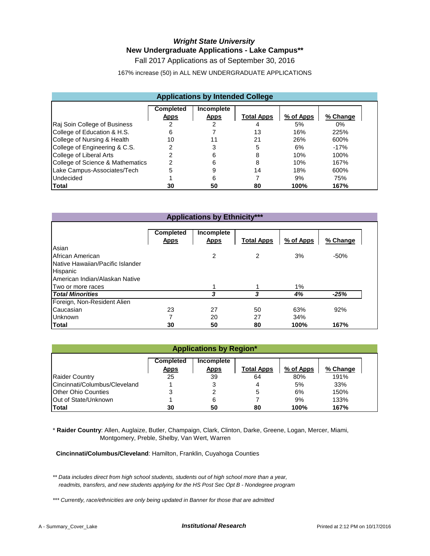# *Wright State University* **New Undergraduate Applications - Lake Campus\*\***

Fall 2017 Applications as of September 30, 2016

167% increase (50) in ALL NEW UNDERGRADUATE APPLICATIONS

| <b>Applications by Intended College</b> |                                 |                           |                   |           |          |  |  |  |  |
|-----------------------------------------|---------------------------------|---------------------------|-------------------|-----------|----------|--|--|--|--|
|                                         | <b>Completed</b><br><b>Apps</b> | Incomplete<br><b>Apps</b> | <b>Total Apps</b> | % of Apps | % Change |  |  |  |  |
| Raj Soin College of Business            | っ                               |                           |                   | 5%        | 0%       |  |  |  |  |
| College of Education & H.S.             | 6                               |                           | 13                | 16%       | 225%     |  |  |  |  |
| College of Nursing & Health             | 10                              | 11                        | 21                | 26%       | 600%     |  |  |  |  |
| College of Engineering & C.S.           |                                 |                           | 5                 | 6%        | $-17%$   |  |  |  |  |
| College of Liberal Arts                 |                                 | 6                         | 8                 | 10%       | 100%     |  |  |  |  |
| College of Science & Mathematics        |                                 | 6                         | 8                 | 10%       | 167%     |  |  |  |  |
| Lake Campus-Associates/Tech             | 5                               |                           | 14                | 18%       | 600%     |  |  |  |  |
| <b>Undecided</b>                        |                                 | 6                         |                   | 9%        | 75%      |  |  |  |  |
| Total                                   | 30                              | 50                        | 80                | 100%      | 167%     |  |  |  |  |

| <b>Applications by Ethnicity***</b> |                                 |                           |                   |           |          |  |  |  |  |
|-------------------------------------|---------------------------------|---------------------------|-------------------|-----------|----------|--|--|--|--|
|                                     | <b>Completed</b><br><b>Apps</b> | Incomplete<br><b>Apps</b> | <b>Total Apps</b> | % of Apps | % Change |  |  |  |  |
| Asian                               |                                 |                           |                   |           |          |  |  |  |  |
| African American                    |                                 | 2                         | 2                 | 3%        | $-50%$   |  |  |  |  |
| Native Hawaiian/Pacific Islander    |                                 |                           |                   |           |          |  |  |  |  |
| Hispanic                            |                                 |                           |                   |           |          |  |  |  |  |
| American Indian/Alaskan Native      |                                 |                           |                   |           |          |  |  |  |  |
| Two or more races                   |                                 | 1                         |                   | 1%        |          |  |  |  |  |
| <b>Total Minorities</b>             |                                 | 3                         | 3                 | 4%        | $-25%$   |  |  |  |  |
| Foreign, Non-Resident Alien         |                                 |                           |                   |           |          |  |  |  |  |
| Caucasian                           | 23                              | 27                        | 50                | 63%       | 92%      |  |  |  |  |
| Unknown                             | 7                               | 20                        | 27                | 34%       |          |  |  |  |  |
| Total                               | 30                              | 50                        | 80                | 100%      | 167%     |  |  |  |  |

| <b>Applications by Region*</b>                                                                             |    |    |    |      |      |  |  |  |  |  |
|------------------------------------------------------------------------------------------------------------|----|----|----|------|------|--|--|--|--|--|
| <b>Completed</b><br>Incomplete<br>% of Apps<br>% Change<br><b>Total Apps</b><br><b>Apps</b><br><b>Apps</b> |    |    |    |      |      |  |  |  |  |  |
| <b>Raider Country</b>                                                                                      | 25 | 39 | 64 | 80%  | 191% |  |  |  |  |  |
| Cincinnati/Columbus/Cleveland                                                                              |    | 3  | 4  | 5%   | 33%  |  |  |  |  |  |
| <b>Other Ohio Counties</b>                                                                                 |    |    | 5  | 6%   | 150% |  |  |  |  |  |
| Out of State/Unknown                                                                                       |    | 6  |    | 9%   | 133% |  |  |  |  |  |
| Total                                                                                                      | 30 | 50 | 80 | 100% | 167% |  |  |  |  |  |

\* **Raider Country**: Allen, Auglaize, Butler, Champaign, Clark, Clinton, Darke, Greene, Logan, Mercer, Miami, Montgomery, Preble, Shelby, Van Wert, Warren

 **Cincinnati/Columbus/Cleveland**: Hamilton, Franklin, Cuyahoga Counties

*\*\* Data includes direct from high school students, students out of high school more than a year, readmits, transfers, and new students applying for the HS Post Sec Opt B - Nondegree program*

*\*\*\* Currently, race/ethnicities are only being updated in Banner for those that are admitted*